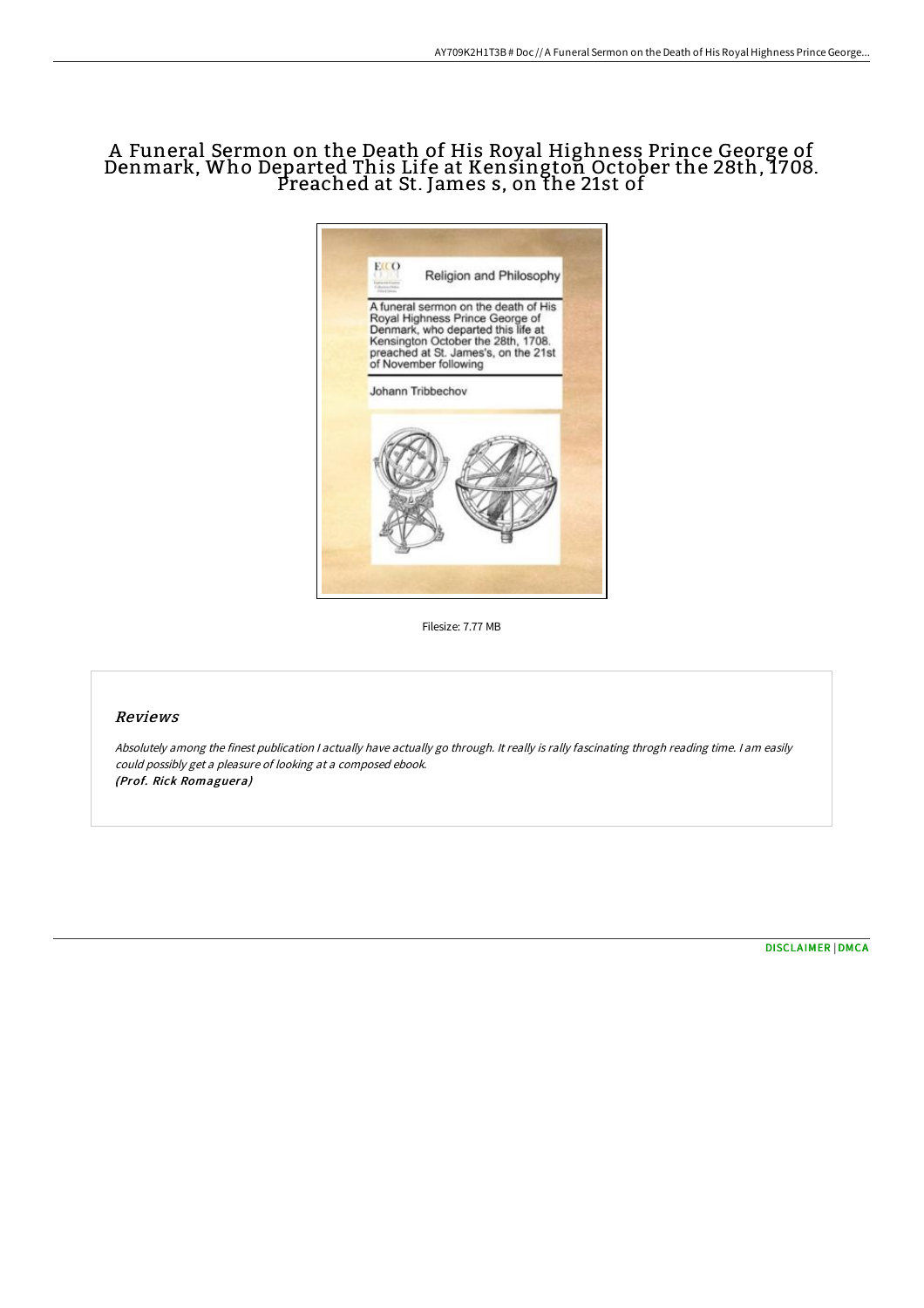# A Funeral Sermon on the Death of His Royal Highness Prince George of Denmark, Who Departed This Life at Kensington October the 28th, 1708. Preached at St. James s, on the 21st of



Filesize: 7.77 MB

### Reviews

Absolutely among the finest publication <sup>I</sup> actually have actually go through. It really is rally fascinating throgh reading time. <sup>I</sup> am easily could possibly get <sup>a</sup> pleasure of looking at <sup>a</sup> composed ebook. (Prof. Rick Romaguera)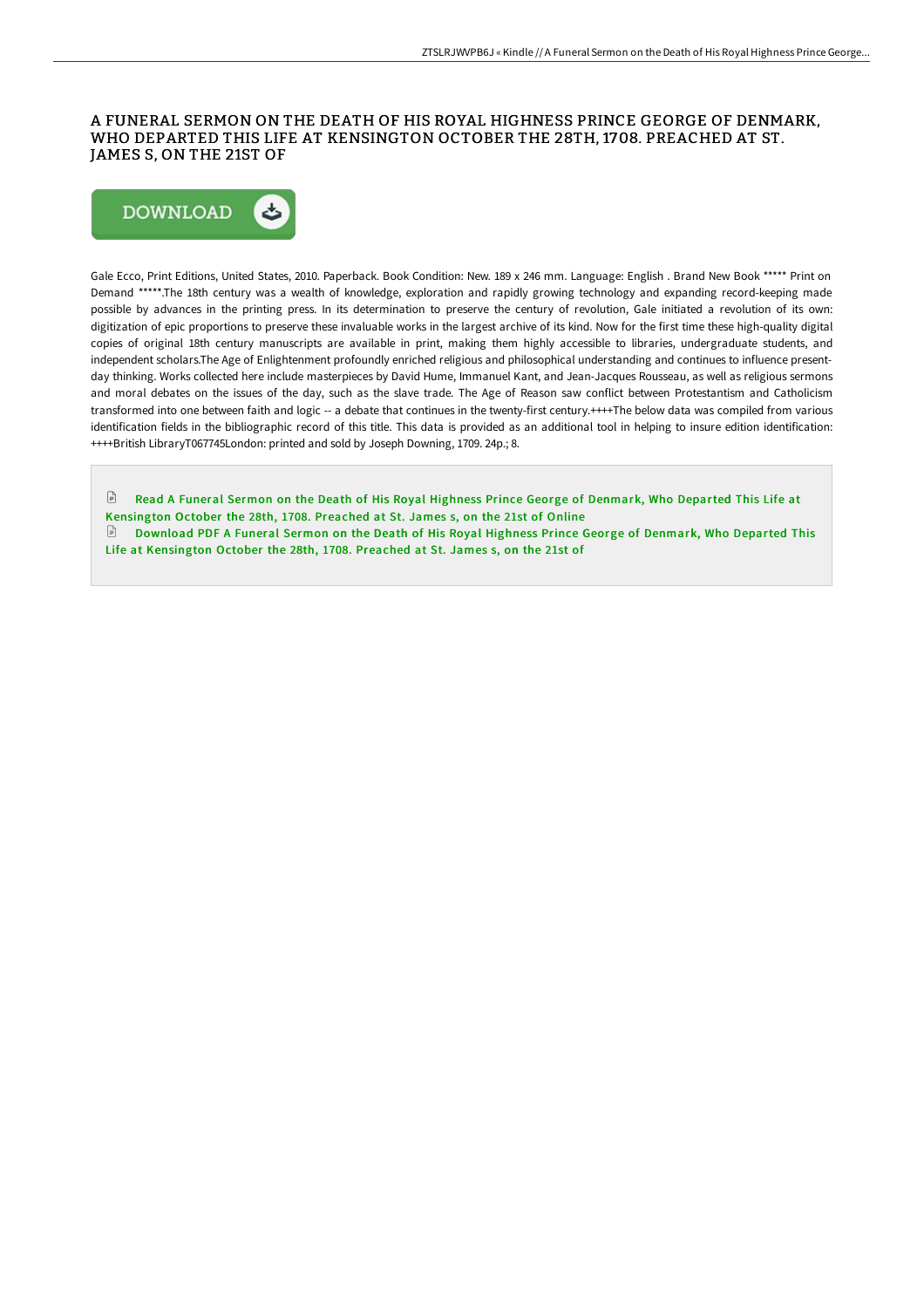### A FUNERAL SERMON ON THE DEATH OF HIS ROYAL HIGHNESS PRINCE GEORGE OF DENMARK, WHO DEPARTED THIS LIFE AT KENSINGTON OCTOBER THE 28TH, 1708. PREACHED AT ST. JAMES S, ON THE 21ST OF



Gale Ecco, Print Editions, United States, 2010. Paperback. Book Condition: New. 189 x 246 mm. Language: English . Brand New Book \*\*\*\*\* Print on Demand \*\*\*\*\*.The 18th century was a wealth of knowledge, exploration and rapidly growing technology and expanding record-keeping made possible by advances in the printing press. In its determination to preserve the century of revolution, Gale initiated a revolution of its own: digitization of epic proportions to preserve these invaluable works in the largest archive of its kind. Now for the first time these high-quality digital copies of original 18th century manuscripts are available in print, making them highly accessible to libraries, undergraduate students, and independent scholars.The Age of Enlightenment profoundly enriched religious and philosophical understanding and continues to influence presentday thinking. Works collected here include masterpieces by David Hume, Immanuel Kant, and Jean-Jacques Rousseau, as well as religious sermons and moral debates on the issues of the day, such as the slave trade. The Age of Reason saw conflict between Protestantism and Catholicism transformed into one between faith and logic -- a debate that continues in the twenty-first century.++++The below data was compiled from various identification fields in the bibliographic record of this title. This data is provided as an additional tool in helping to insure edition identification: ++++British LibraryT067745London: printed and sold by Joseph Downing, 1709. 24p.; 8.

 $\mathbb{R}$ Read A Funeral Sermon on the Death of His Royal Highness Prince George of Denmark, Who Departed This Life at [Kensington](http://techno-pub.tech/a-funeral-sermon-on-the-death-of-his-royal-highn.html) October the 28th, 1708. Preached at St. James s, on the 21st of Online Download PDF A Funeral Sermon on the Death of His Royal Highness Prince George of Denmark, Who Departed This

Life at [Kensington](http://techno-pub.tech/a-funeral-sermon-on-the-death-of-his-royal-highn.html) October the 28th, 1708. Preached at St. James s, on the 21st of